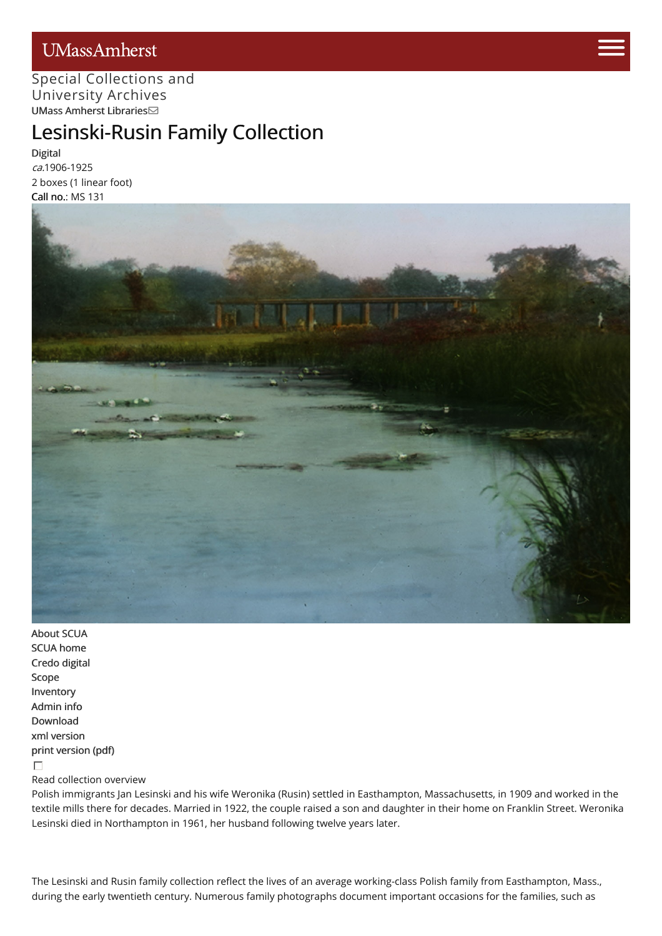## UMassAmherst



### Special [Collections](http://scua.library.umass.edu) [and](https://www.umass.edu/admissions/visits/visit-campus) University Archives UMass Amherst [Libraries](http://library.umass.edu)

# Lesinski-Rusin [Fami](https://www.umass.edu/admissions)ly Collection

[Digital](http://credo.library.umass.edu/view/collection/mums131) ca.1906-1925 2 boxes (1 linear foot) Call no.: MS 131



[About](http://scua.library.umass.edu/) SCUA SCUA [home](http://scua.library.umass.edu) [Credo](http://credo.library.umass.edu/) digital [Scope](#page-1-0) [Inventory](#page-1-1) [Admin](#page-4-0) info [Download](http://scua.library.umass.edu/) xml [version](file:///tmp/mums131.xml) print [version](file:///tmp/mums131.pdf) (pdf)  $\Box$ 

#### Read collection overview

Polish immigrants Jan Lesinski and his wife Weronika (Rusin) settled in Easthampton, Massachusetts, in 1909 and worked in the textile mills there for decades. Married in 1922, the couple raised a son and daughter in their home on Franklin Street. Weronika Lesinski died in Northampton in 1961, her husband following twelve years later.

The Lesinski and Rusin family collection reflect the lives of an average working-class Polish family from Easthampton, Mass., during the early twentieth century. Numerous family photographs document important occasions for the families, such as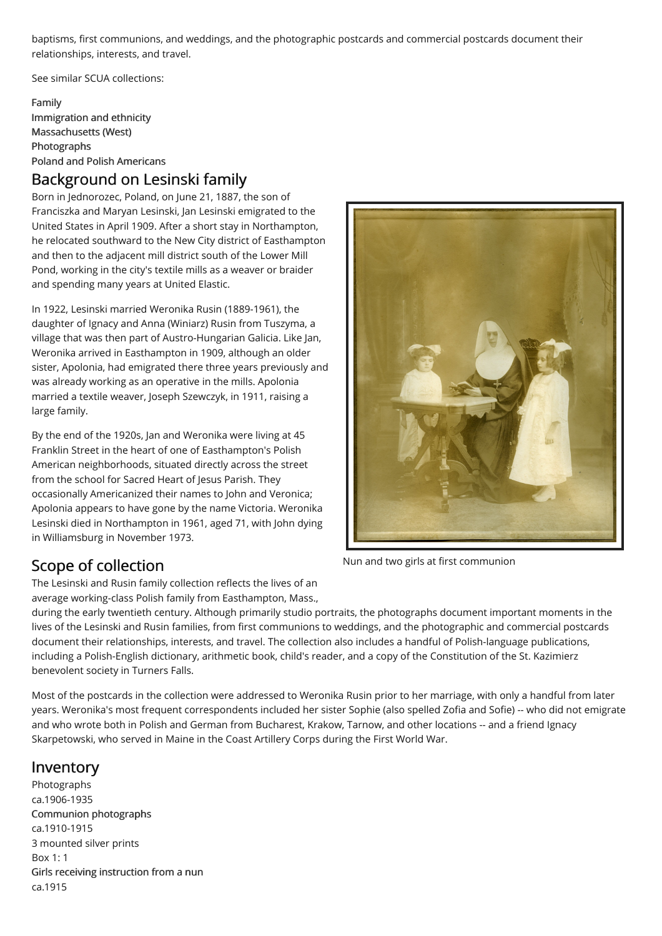baptisms, first communions, and weddings, and the photographic postcards and commercial postcards document their relationships, interests, and travel.

See similar SCUA collections:

[Family](http://scua.library.umass.edu/umarmot/category/family) [Immigration](http://scua.library.umass.edu/umarmot/category/ethnicity-immigration) and ethnicity [Massachusetts](http://scua.library.umass.edu/umarmot/category/new-england/Massachusetts-west) (West) [Photographs](http://scua.library.umass.edu/umarmot/category/photographs) Poland and Polish [Americans](http://scua.library.umass.edu/umarmot/category/eastern-europe/polish-americans)

## Background on Lesinski family

Born in Jednorozec, Poland, on June 21, 1887, the son of Franciszka and Maryan Lesinski, Jan Lesinski emigrated to the United States in April 1909. After a short stay in Northampton, he relocated southward to the New City district of Easthampton and then to the adjacent mill district south of the Lower Mill Pond, working in the city's textile mills as a weaver or braider and spending many years at United Elastic.

In 1922, Lesinski married Weronika Rusin (1889-1961), the daughter of Ignacy and Anna (Winiarz) Rusin from Tuszyma, a village that was then part of Austro-Hungarian Galicia. Like Jan, Weronika arrived in Easthampton in 1909, although an older sister, Apolonia, had emigrated there three years previously and was already working as an operative in the mills. Apolonia married a textile weaver, Joseph Szewczyk, in 1911, raising a large family.

By the end of the 1920s, Jan and Weronika were living at 45 Franklin Street in the heart of one of Easthampton's Polish American neighborhoods, situated directly across the street from the school for Sacred Heart of Jesus Parish. They occasionally Americanized their names to John and Veronica; Apolonia appears to have gone by the name Victoria. Weronika Lesinski died in Northampton in 1961, aged 71, with John dying in Williamsburg in November 1973.



Nun and two girls at first communion

## <span id="page-1-0"></span>Scope of collection

The Lesinski and Rusin family collection reflects the lives of an average working-class Polish family from Easthampton, Mass.,

during the early twentieth century. Although primarily studio portraits, the photographs document important moments in the lives of the Lesinski and Rusin families, from first communions to weddings, and the photographic and commercial postcards document their relationships, interests, and travel. The collection also includes a handful of Polish-language publications, including a Polish-English dictionary, arithmetic book, child's reader, and a copy of the Constitution of the St. Kazimierz benevolent society in Turners Falls.

Most of the postcards in the collection were addressed to Weronika Rusin prior to her marriage, with only a handful from later years. Weronika's most frequent correspondents included her sister Sophie (also spelled Zofia and Sofie) -- who did not emigrate and who wrote both in Polish and German from Bucharest, Krakow, Tarnow, and other locations -- and a friend Ignacy Skarpetowski, who served in Maine in the Coast Artillery Corps during the First World War.

## <span id="page-1-1"></span>Inventory

Photographs ca.1906-1935 Communion [photographs](http://credo.library.umass.edu/search?q=muph131-b01-f01) ca.1910-1915 3 mounted silver prints Box 1: 1 Girls receiving [instruction](http://credo.library.umass.edu/search?q=muph131-b01-f02) from a nun ca.1915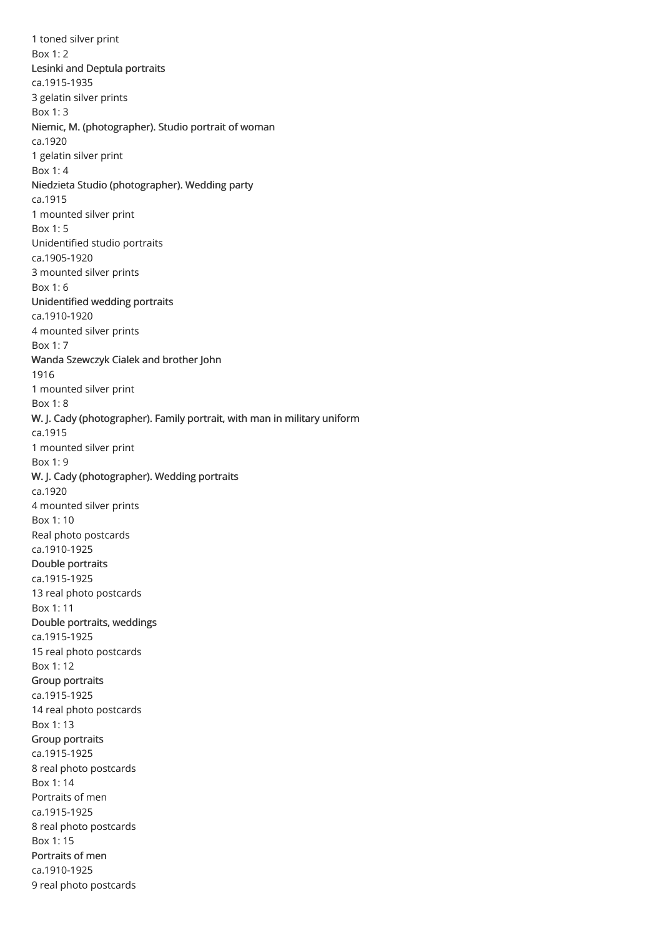1 toned silver print Box 1: 2 Lesinki and Deptula [portraits](http://credo.library.umass.edu/search?q=muph131-b01-f03) ca.1915-1935 3 gelatin silver prints Box 1: 3 Niemic, M. [\(photographer\).](http://credo.library.umass.edu/search?q=muph131-b01-f04) Studio portrait of woman ca.1920 1 gelatin silver print Box 1: 4 Niedzieta Studio [\(photographer\).](http://credo.library.umass.edu/search?q=muph131-b01-f05) Wedding party ca.1915 1 mounted silver print Box 1: 5 Unidentified studio portraits ca.1905-1920 3 mounted silver prints Box 1: 6 [Unidentified](http://credo.library.umass.edu/search?q=muph131-b01-f07) wedding portraits ca.1910-1920 4 mounted silver prints Box 1: 7 Wanda [Szewczyk](http://credo.library.umass.edu/search?q=muph131-b01-f08) Cialek and brother John 1916 1 mounted silver print Box 1: 8 W. J. Cady [\(photographer\).](http://credo.library.umass.edu/search?q=muph131-b01-f09) Family portrait, with man in military uniform ca.1915 1 mounted silver print Box 1: 9 W. J. Cady [\(photographer\).](http://credo.library.umass.edu/search?q=muph131-b01-f10) Wedding portraits ca.1920 4 mounted silver prints Box 1: 10 Real photo postcards ca.1910-1925 Double [portraits](http://credo.library.umass.edu/search?q=muph131-b01-f11) ca.1915-1925 13 real photo postcards Box 1: 11 Double portraits, [weddings](http://credo.library.umass.edu/search?q=muph131-b01-f12) ca.1915-1925 15 real photo postcards Box 1: 12 Group [portraits](http://credo.library.umass.edu/search?q=muph131-b01-f13) ca.1915-1925 14 real photo postcards Box 1: 13 Group [portraits](http://credo.library.umass.edu/search?q=muph131-b01-f14) ca.1915-1925 8 real photo postcards Box 1: 14 Portraits of men ca.1915-1925 8 real photo postcards Box 1: 15 [Portraits](http://credo.library.umass.edu/search?q=muph131-b01-f16) of men ca.1910-1925 9 real photo postcards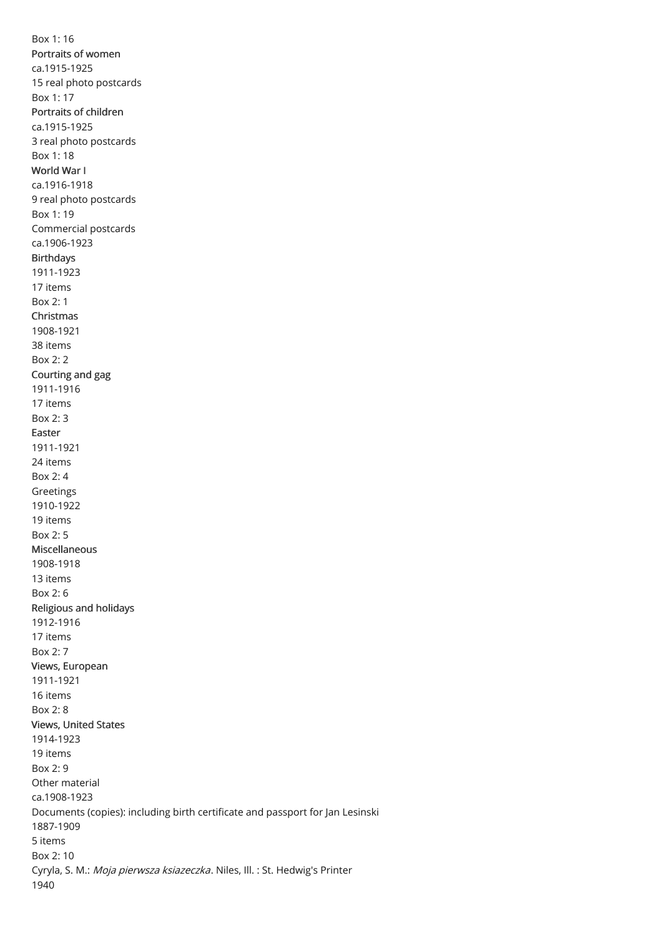Box 1: 16 [Portraits](http://credo.library.umass.edu/search?q=muph131-b01-f17) of women ca.1915-1925 15 real photo postcards Box 1: 17 [Portraits](http://credo.library.umass.edu/search?q=muph131-b01-f18) of children ca.1915-1925 3 real photo postcards Box 1: 18 [World](http://credo.library.umass.edu/search?q=muph131-b01-f19) War I ca.1916-1918 9 real photo postcards Box 1: 19 Commercial postcards ca.1906-1923 [Birthdays](http://credo.library.umass.edu/search?q=muph131-b02-f01) 1911-1923 17 items Box 2: 1 [Christmas](http://credo.library.umass.edu/search?q=muph131-b02-f02) 1908-1921 38 items Box 2: 2 [Courting](http://credo.library.umass.edu/search?q=muph131-b02-f03) and gag 1911-1916 17 items Box 2: 3 [Easter](http://credo.library.umass.edu/search?q=muph131-b02-f04) 1911-1921 24 items Box 2: 4 Greetings 1910-1922 19 items Box 2: 5 [Miscellaneous](http://credo.library.umass.edu/search?q=muph131-b02-f06) 1908-1918 13 items Box 2: 6 [Religious](http://credo.library.umass.edu/search?q=muph131-b02-f07) and holidays 1912-1916 17 items Box 2: 7 Views, [European](http://credo.library.umass.edu/search?q=muph131-b02-f08) 1911-1921 16 items Box 2: 8 Views, [United](http://credo.library.umass.edu/search?q=muph131-b02-f09) States 1914-1923 19 items Box 2: 9 Other material ca.1908-1923 Documents (copies): including birth certificate and passport for Jan Lesinski 1887-1909 5 items Box 2: 10 Cyryla, S. M.: Moja pierwsza ksiazeczka. Niles, Ill. : St. Hedwig's Printer 1940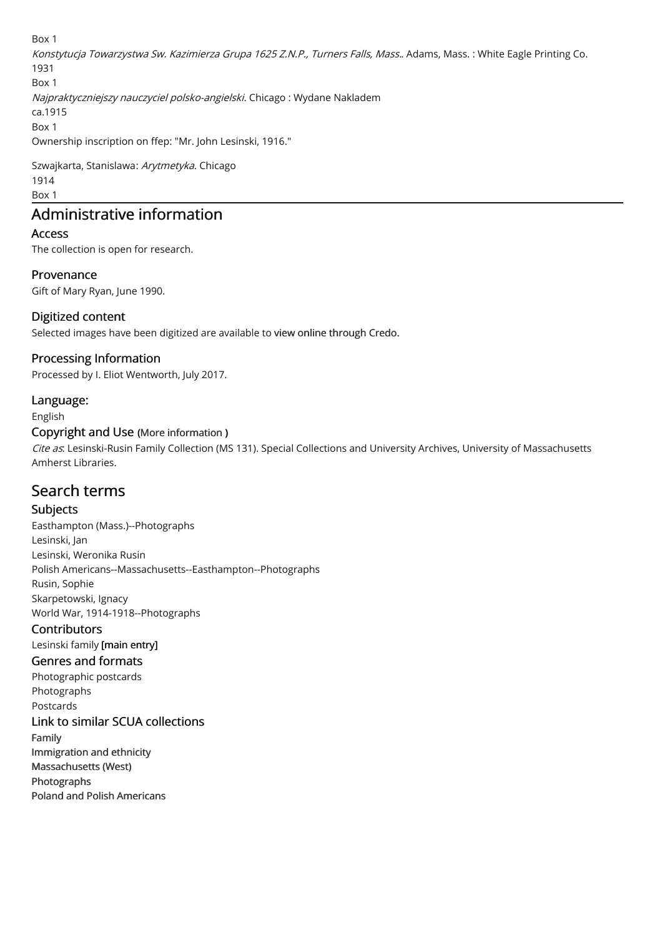Box 1 Konstytucja Towarzystwa Sw. Kazimierza Grupa 1625 Z.N.P., Turners Falls, Mass.. Adams, Mass. : White Eagle Printing Co. 1931 Box 1 Najpraktyczniejszy nauczyciel polsko-angielski. Chicago : Wydane Nakladem ca.1915 Box 1 Ownership inscription on ffep: "Mr. John Lesinski, 1916."

Szwajkarta, Stanislawa: Arytmetyka. Chicago 1914 Box 1

## <span id="page-4-0"></span>Administrative information

#### Access

The collection is open for research.

#### Provenance

Gift of Mary Ryan, June 1990.

#### Digitized content

Selected images have been digitized are available to view online [through](http://credo.library.umass.edu) Credo.

#### Processing Information

Processed by I. Eliot Wentworth, July 2017.

#### Language:

English

#### Copyright and Use (More [information](http://scua.library.umass.edu/umarmot/?page_id=690) )

Cite as. Lesinski-Rusin Family Collection (MS 131). Special Collections and University Archives, University of Massachusetts Amherst Libraries.

## Search terms

#### Subjects

Easthampton (Mass.)--Photographs Lesinski, Jan Lesinski, Weronika Rusin Polish Americans--Massachusetts--Easthampton--Photographs Rusin, Sophie Skarpetowski, Ignacy World War, 1914-1918--Photographs

#### **Contributors**

Lesinski family [main entry]

#### Genres and formats

Photographic postcards Photographs Postcards

#### Link to similar SCUA collections

[Family](http://scua.library.umass.edu/umarmot/category/family)

[Immigration](http://scua.library.umass.edu/umarmot/category/ethnicity-immigration) and ethnicity [Massachusetts](http://scua.library.umass.edu/umarmot/category/new-england/Massachusetts-west) (West) [Photographs](http://scua.library.umass.edu/umarmot/category/photographs) Poland and Polish [Americans](http://scua.library.umass.edu/umarmot/category/eastern-europe/polish-americans)